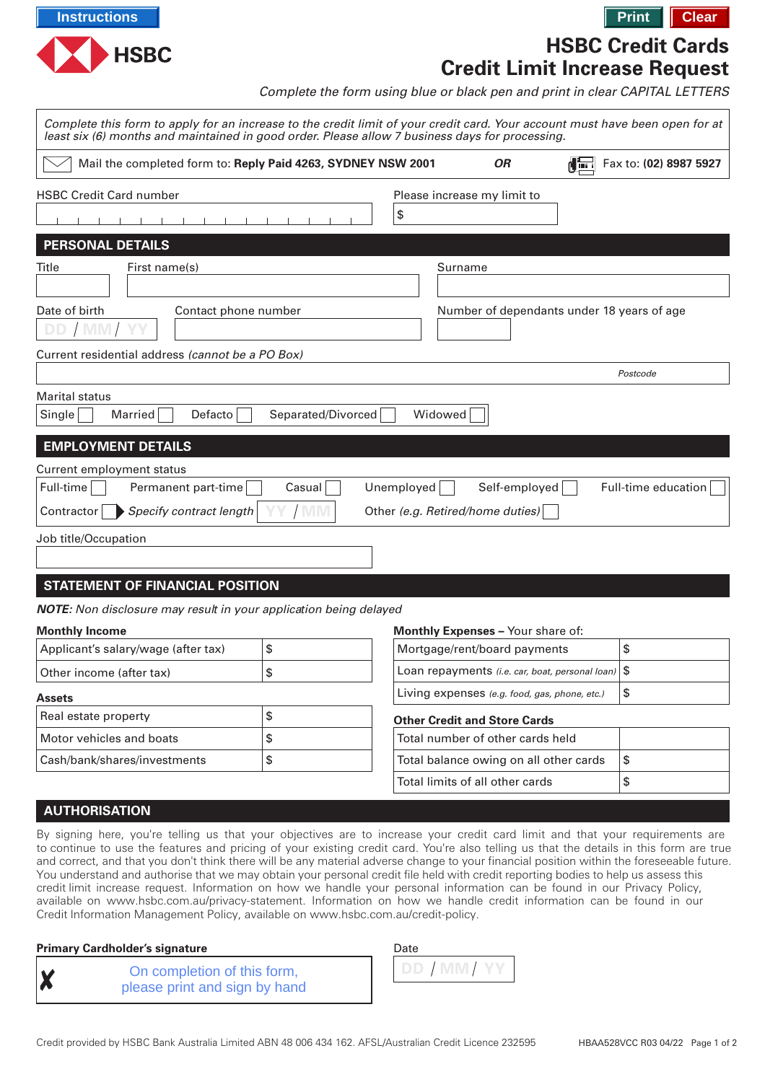

**HSBC Credit Cards**

**Credit Limit Increase Request**

Complete the form using blue or black pen and print in clear CAPITAL LETTERS

| Complete this form to apply for an increase to the credit limit of your credit card. Your account must have been open for at<br>least six (6) months and maintained in good order. Please allow 7 business days for processing. |                     |            |                                                   |    |                        |
|---------------------------------------------------------------------------------------------------------------------------------------------------------------------------------------------------------------------------------|---------------------|------------|---------------------------------------------------|----|------------------------|
| Mail the completed form to: Reply Paid 4263, SYDNEY NSW 2001                                                                                                                                                                    |                     |            | <b>OR</b>                                         | 化量 | Fax to: (02) 8987 5927 |
| <b>HSBC Credit Card number</b>                                                                                                                                                                                                  |                     | \$         | Please increase my limit to                       |    |                        |
| <b>PERSONAL DETAILS</b>                                                                                                                                                                                                         |                     |            |                                                   |    |                        |
| First name(s)<br>Title                                                                                                                                                                                                          |                     |            | Surname                                           |    |                        |
|                                                                                                                                                                                                                                 |                     |            |                                                   |    |                        |
| Date of birth<br>Contact phone number<br>Current residential address (cannot be a PO Box)                                                                                                                                       |                     |            | Number of dependants under 18 years of age        |    |                        |
|                                                                                                                                                                                                                                 |                     |            |                                                   |    | Postcode               |
| Marital status<br>Single<br>Married<br>Defacto                                                                                                                                                                                  | Separated/Divorced  |            | Widowed                                           |    |                        |
| <b>EMPLOYMENT DETAILS</b>                                                                                                                                                                                                       |                     |            |                                                   |    |                        |
| Current employment status                                                                                                                                                                                                       |                     |            |                                                   |    |                        |
| Permanent part-time<br>Full-time<br>Specify contract length<br>Contractor                                                                                                                                                       | Casual<br><b>MM</b> | Unemployed | Self-employed<br>Other (e.g. Retired/home duties) |    | Full-time education    |
| Job title/Occupation                                                                                                                                                                                                            |                     |            |                                                   |    |                        |
| <b>STATEMENT OF FINANCIAL POSITION</b>                                                                                                                                                                                          |                     |            |                                                   |    |                        |
| <b>NOTE:</b> Non disclosure may result in your application being delayed                                                                                                                                                        |                     |            |                                                   |    |                        |
| <b>Monthly Income</b>                                                                                                                                                                                                           |                     |            | <b>Monthly Expenses - Your share of:</b>          |    |                        |
| Applicant's salary/wage (after tax)                                                                                                                                                                                             | \$                  |            | Mortgage/rent/board payments                      |    | \$                     |
| Other income (after tax)                                                                                                                                                                                                        | \$                  |            | Loan repayments (i.e. car, boat, personal loan)   |    | \$                     |
| <b>Assets</b>                                                                                                                                                                                                                   |                     |            | Living expenses (e.g. food, gas, phone, etc.)     |    | \$                     |
| Real estate property                                                                                                                                                                                                            | \$                  |            | <b>Other Credit and Store Cards</b>               |    |                        |
| Motor vehicles and boats                                                                                                                                                                                                        | \$                  |            | Total number of other cards held                  |    |                        |
| Cash/bank/shares/investments                                                                                                                                                                                                    | \$                  |            | Total balance owing on all other cards            |    | \$                     |
|                                                                                                                                                                                                                                 |                     |            | Total limits of all other cards                   |    | \$                     |

# **AUTHORISATION**

By signing here, you're telling us that your objectives are to increase your credit card limit and that your requirements are to continue to use the features and pricing of your existing credit card. You're also telling us that the details in this form are true and correct, and that you don't think there will be any material adverse change to your financial position within the foreseeable future. You understand and authorise that we may obtain your personal credit file held with credit reporting bodies to help us assess this credit limit increase request. Information on how we handle your personal information can be found in our Privacy Policy, available on [www.hsbc.com.au/privacy-statement.](www.hsbc.com.au/privacy-statement) Information on how we handle credit information can be found in our Credit Information Management Policy, available on<www.hsbc.com.au/credit-policy>.

# **Primary Cardholder's signature**

| <u>V</u> |  |  |
|----------|--|--|

On completion of this form, please print and sign by hand

| Date |  |  |
|------|--|--|
|      |  |  |